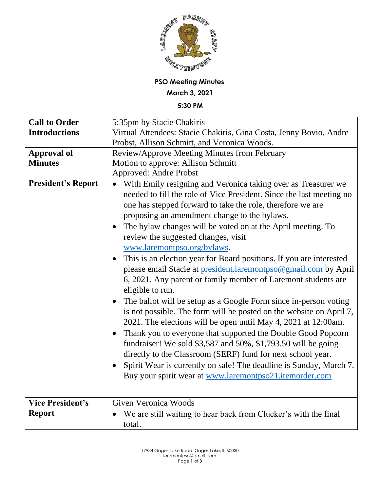

## **PSO Meeting Minutes**

**March 3, 2021**

**5:30 PM**

| <b>Call to Order</b>      | 5:35pm by Stacie Chakiris                                                     |
|---------------------------|-------------------------------------------------------------------------------|
| <b>Introductions</b>      | Virtual Attendees: Stacie Chakiris, Gina Costa, Jenny Bovio, Andre            |
|                           | Probst, Allison Schmitt, and Veronica Woods.                                  |
| <b>Approval of</b>        | Review/Approve Meeting Minutes from February                                  |
| <b>Minutes</b>            | Motion to approve: Allison Schmitt                                            |
|                           | <b>Approved: Andre Probst</b>                                                 |
| <b>President's Report</b> | With Emily resigning and Veronica taking over as Treasurer we                 |
|                           | needed to fill the role of Vice President. Since the last meeting no          |
|                           | one has stepped forward to take the role, therefore we are                    |
|                           | proposing an amendment change to the bylaws.                                  |
|                           | The bylaw changes will be voted on at the April meeting. To                   |
|                           | review the suggested changes, visit                                           |
|                           | www.laremontpso.org/bylaws.                                                   |
|                           | This is an election year for Board positions. If you are interested           |
|                           | please email Stacie at president.laremontpso@gmail.com by April               |
|                           | 6, 2021. Any parent or family member of Laremont students are                 |
|                           | eligible to run.                                                              |
|                           | The ballot will be setup as a Google Form since in-person voting<br>$\bullet$ |
|                           | is not possible. The form will be posted on the website on April 7,           |
|                           | 2021. The elections will be open until May 4, 2021 at 12:00am.                |
|                           | Thank you to everyone that supported the Double Good Popcorn<br>$\bullet$     |
|                           | fundraiser! We sold \$3,587 and 50%, \$1,793.50 will be going                 |
|                           | directly to the Classroom (SERF) fund for next school year.                   |
|                           | Spirit Wear is currently on sale! The deadline is Sunday, March 7.            |
|                           | Buy your spirit wear at www.laremontpso21.itemorder.com                       |
|                           |                                                                               |
|                           |                                                                               |
| <b>Vice President's</b>   | Given Veronica Woods                                                          |
| <b>Report</b>             | We are still waiting to hear back from Clucker's with the final               |
|                           | total.                                                                        |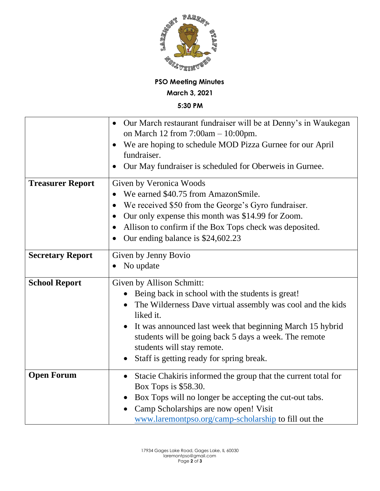

## **PSO Meeting Minutes**

**March 3, 2021**

**5:30 PM**

|                         | Our March restaurant fundraiser will be at Denny's in Waukegan<br>$\bullet$<br>on March 12 from $7:00am - 10:00pm$ .<br>We are hoping to schedule MOD Pizza Gurnee for our April<br>fundraiser.<br>Our May fundraiser is scheduled for Oberweis in Gurnee.                                                                                                                         |
|-------------------------|------------------------------------------------------------------------------------------------------------------------------------------------------------------------------------------------------------------------------------------------------------------------------------------------------------------------------------------------------------------------------------|
| <b>Treasurer Report</b> | Given by Veronica Woods<br>We earned \$40.75 from AmazonSmile.<br>We received \$50 from the George's Gyro fundraiser.<br>$\bullet$<br>Our only expense this month was \$14.99 for Zoom.<br>$\bullet$<br>Allison to confirm if the Box Tops check was deposited.<br>$\bullet$<br>Our ending balance is \$24,602.23                                                                  |
| <b>Secretary Report</b> | Given by Jenny Bovio<br>No update<br>$\bullet$                                                                                                                                                                                                                                                                                                                                     |
| <b>School Report</b>    | Given by Allison Schmitt:<br>Being back in school with the students is great!<br>The Wilderness Dave virtual assembly was cool and the kids<br>liked it.<br>It was announced last week that beginning March 15 hybrid<br>$\bullet$<br>students will be going back 5 days a week. The remote<br>students will stay remote.<br>Staff is getting ready for spring break.<br>$\bullet$ |
| <b>Open Forum</b>       | Stacie Chakiris informed the group that the current total for<br>$\bullet$<br>Box Tops is \$58.30.<br>Box Tops will no longer be accepting the cut-out tabs.<br>Camp Scholarships are now open! Visit<br>$\bullet$<br>www.laremontpso.org/camp-scholarship to fill out the                                                                                                         |